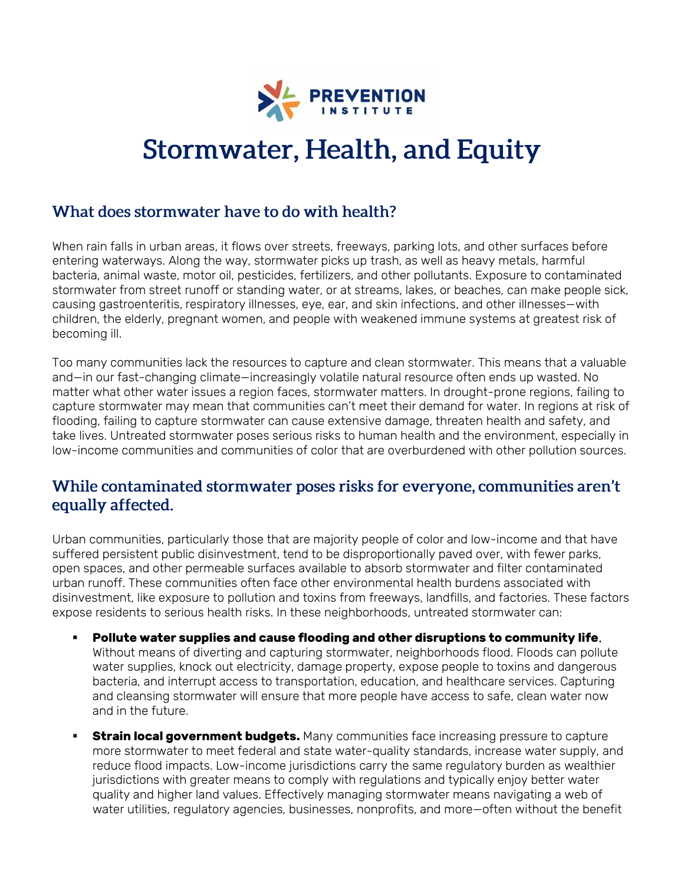

# **Stormwater, Health, and Equity**

#### What does stormwater have to do with health?

When rain falls in urban areas, it flows over streets, freeways, parking lots, and other surfaces before entering waterways. Along the way, stormwater picks up trash, as well as heavy metals, harmful bacteria, animal waste, motor oil, pesticides, fertilizers, and other pollutants. Exposure to contaminated stormwater from street runoff or standing water, or at streams, lakes, or beaches, can make people sick, causing gastroenteritis, respiratory illnesses, eye, ear, and skin infections, and other illnesses—with children, the elderly, pregnant women, and people with weakened immune systems at greatest risk of becoming ill.

Too many communities lack the resources to capture and clean stormwater. This means that a valuable and—in our fast-changing climate—increasingly volatile natural resource often ends up wasted. No matter what other water issues a region faces, stormwater matters. In drought-prone regions, failing to capture stormwater may mean that communities can't meet their demand for water. In regions at risk of flooding, failing to capture stormwater can cause extensive damage, threaten health and safety, and take lives. Untreated stormwater poses serious risks to human health and the environment, especially in low-income communities and communities of color that are overburdened with other pollution sources.

#### While contaminated stormwater poses risks for everyone, communities aren't equally affected.

Urban communities, particularly those that are majority people of color and low-income and that have suffered persistent public disinvestment, tend to be disproportionally paved over, with fewer parks, open spaces, and other permeable surfaces available to absorb stormwater and filter contaminated urban runoff. These communities often face other environmental health burdens associated with disinvestment, like exposure to pollution and toxins from freeways, landfills, and factories. These factors expose residents to serious health risks. In these neighborhoods, untreated stormwater can:

- **Pollute water supplies and cause flooding and other disruptions to community life**. Without means of diverting and capturing stormwater, neighborhoods flood. Floods can pollute water supplies, knock out electricity, damage property, expose people to toxins and dangerous bacteria, and interrupt access to transportation, education, and healthcare services. Capturing and cleansing stormwater will ensure that more people have access to safe, clean water now and in the future.
- **Extrain local government budgets.** Many communities face increasing pressure to capture more stormwater to meet federal and state water-quality standards, increase water supply, and reduce flood impacts. Low-income jurisdictions carry the same regulatory burden as wealthier jurisdictions with greater means to comply with regulations and typically enjoy better water quality and higher land values. Effectively managing stormwater means navigating a web of water utilities, regulatory agencies, businesses, nonprofits, and more—often without the benefit